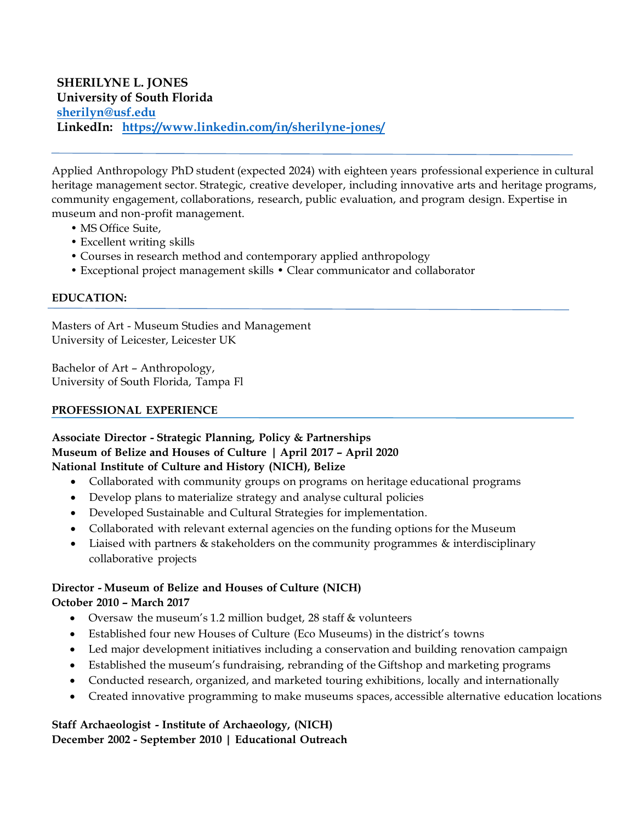Applied Anthropology PhD student (expected 2024) with eighteen years professional experience in cultural heritage management sector. Strategic, creative developer, including innovative arts and heritage programs, community engagement, collaborations, research, public evaluation, and program design. Expertise in museum and non-profit management.

- MS Office Suite,
- Excellent writing skills
- Courses in research method and contemporary applied anthropology
- Exceptional project management skills Clear communicator and collaborator

### **EDUCATION:**

Masters of Art - Museum Studies and Management University of Leicester, Leicester UK

Bachelor of Art – Anthropology, University of South Florida, Tampa Fl

#### **PROFESSIONAL EXPERIENCE**

### **Associate Director - Strategic Planning, Policy & Partnerships Museum of Belize and Houses of Culture | April 2017 – April 2020 National Institute of Culture and History (NICH), Belize**

- Collaborated with community groups on programs on heritage educational programs
- Develop plans to materialize strategy and analyse cultural policies
- Developed Sustainable and Cultural Strategies for implementation.
- Collaborated with relevant external agencies on the funding options for the Museum
- Liaised with partners & stakeholders on the community programmes & interdisciplinary collaborative projects

#### **Director - Museum of Belize and Houses of Culture (NICH) October 2010 – March 2017**

- Oversaw the museum's 1.2 million budget, 28 staff & volunteers
- Established four new Houses of Culture (Eco Museums) in the district's towns
- Led major development initiatives including a conservation and building renovation campaign
- Established the museum's fundraising, rebranding of the Giftshop and marketing programs
- Conducted research, organized, and marketed touring exhibitions, locally and internationally
- Created innovative programming to make museums spaces, accessible alternative education locations

## **Staff Archaeologist - Institute of Archaeology, (NICH) December 2002 - September 2010 | Educational Outreach**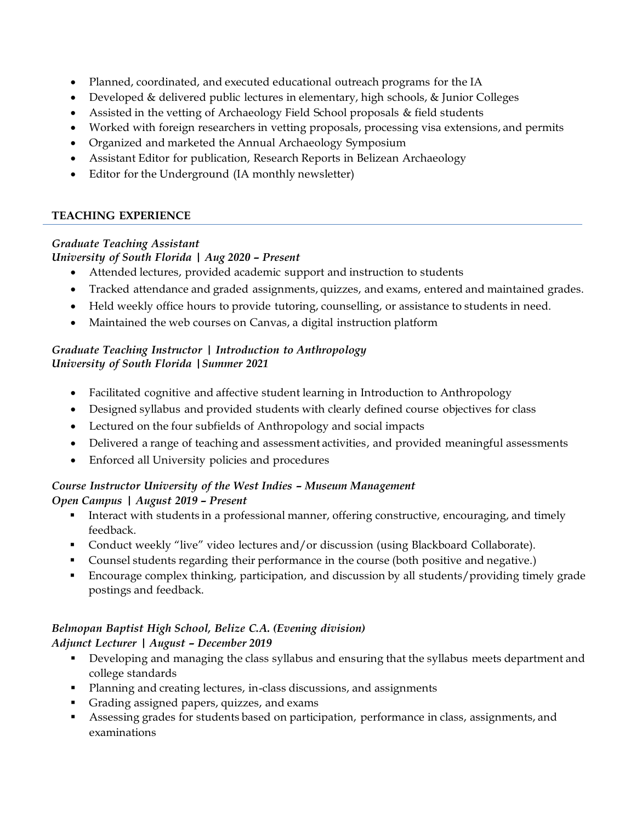- Planned, coordinated, and executed educational outreach programs for the IA
- Developed & delivered public lectures in elementary, high schools, & Junior Colleges
- Assisted in the vetting of Archaeology Field School proposals & field students
- Worked with foreign researchers in vetting proposals, processing visa extensions, and permits
- Organized and marketed the Annual Archaeology Symposium
- Assistant Editor for publication, Research Reports in Belizean Archaeology
- Editor for the Underground (IA monthly newsletter)

## **TEACHING EXPERIENCE**

# *Graduate Teaching Assistant*

## *University of South Florida | Aug 2020 – Present*

- Attended lectures, provided academic support and instruction to students
- Tracked attendance and graded assignments, quizzes, and exams, entered and maintained grades.
- Held weekly office hours to provide tutoring, counselling, or assistance to students in need.
- Maintained the web courses on Canvas, a digital instruction platform

## *Graduate Teaching Instructor | Introduction to Anthropology University of South Florida |Summer 2021*

- Facilitated cognitive and affective student learning in Introduction to Anthropology
- Designed syllabus and provided students with clearly defined course objectives for class
- Lectured on the four subfields of Anthropology and social impacts
- Delivered a range of teaching and assessment activities, and provided meaningful assessments
- Enforced all University policies and procedures

# *Course Instructor University of the West Indies – Museum Management Open Campus | August 2019 – Present*

- **•** Interact with students in a professional manner, offering constructive, encouraging, and timely feedback.
- Conduct weekly "live" video lectures and/or discussion (using Blackboard Collaborate).
- Counsel students regarding their performance in the course (both positive and negative.)
- Encourage complex thinking, participation, and discussion by all students/providing timely grade postings and feedback.

# *Belmopan Baptist High School, Belize C.A. (Evening division) Adjunct Lecturer | August – December 2019*

- Developing and managing the class syllabus and ensuring that the syllabus meets department and college standards
- Planning and creating lectures, in-class discussions, and assignments
- Grading assigned papers, quizzes, and exams
- Assessing grades for students based on participation, performance in class, assignments, and examinations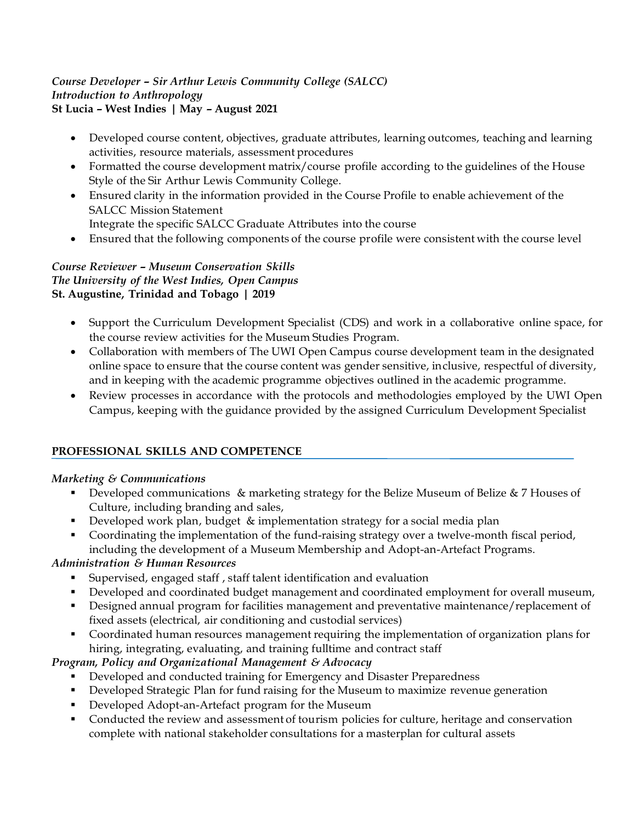### *Course Developer – Sir Arthur Lewis Community College (SALCC) Introduction to Anthropology* **St Lucia – West Indies | May – August 2021**

- Developed course content, objectives, graduate attributes, learning outcomes, teaching and learning activities, resource materials, assessment procedures
- Formatted the course development matrix/course profile according to the guidelines of the House Style of the Sir Arthur Lewis Community College.
- Ensured clarity in the information provided in the Course Profile to enable achievement of the SALCC Mission Statement
	- Integrate the specific SALCC Graduate Attributes into the course
- Ensured that the following components of the course profile were consistent with the course level

## *Course Reviewer – Museum Conservation Skills The University of the West Indies, Open Campus* **St. Augustine, Trinidad and Tobago | 2019**

- Support the Curriculum Development Specialist (CDS) and work in a collaborative online space, for the course review activities for the Museum Studies Program.
- Collaboration with members of The UWI Open Campus course development team in the designated online space to ensure that the course content was gender sensitive, inclusive, respectful of diversity, and in keeping with the academic programme objectives outlined in the academic programme.
- Review processes in accordance with the protocols and methodologies employed by the UWI Open Campus, keeping with the guidance provided by the assigned Curriculum Development Specialist

# **PROFESSIONAL SKILLS AND COMPETENCE**

# *Marketing & Communications*

- Developed communications & marketing strategy for the Belize Museum of Belize & 7 Houses of Culture, including branding and sales,
- Developed work plan, budget & implementation strategy for a social media plan
- Coordinating the implementation of the fund-raising strategy over a twelve-month fiscal period, including the development of a Museum Membership and Adopt-an-Artefact Programs.

# *Administration & Human Resources*

- Supervised, engaged staff, staff talent identification and evaluation
- Developed and coordinated budget management and coordinated employment for overall museum,
- Designed annual program for facilities management and preventative maintenance/replacement of fixed assets (electrical, air conditioning and custodial services)
- Coordinated human resources management requiring the implementation of organization plans for hiring, integrating, evaluating, and training fulltime and contract staff

# *Program, Policy and Organizational Management & Advocacy*

- Developed and conducted training for Emergency and Disaster Preparedness
- Developed Strategic Plan for fund raising for the Museum to maximize revenue generation
- Developed Adopt-an-Artefact program for the Museum
- Conducted the review and assessment of tourism policies for culture, heritage and conservation complete with national stakeholder consultations for a masterplan for cultural assets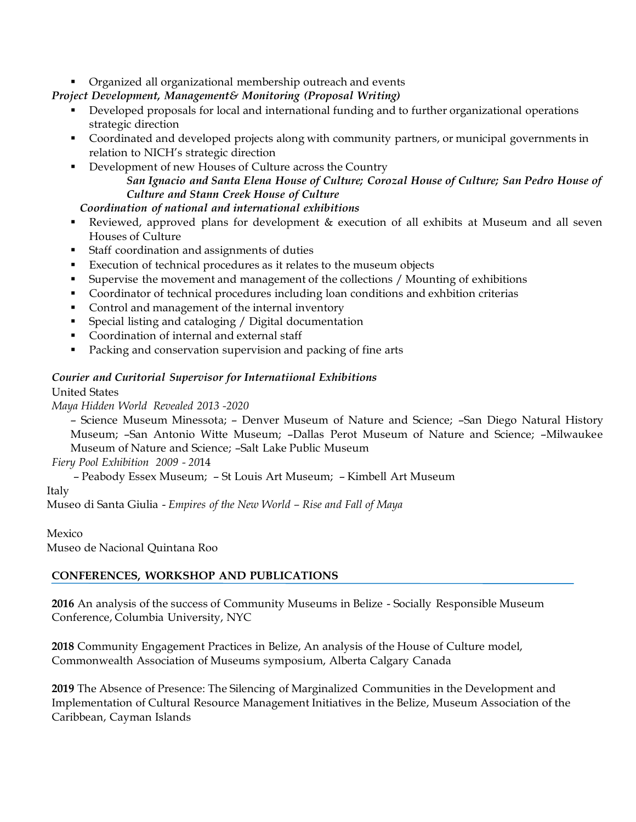### ■ Organized all organizational membership outreach and events

*Project Development, Management& Monitoring (Proposal Writing)*

- Developed proposals for local and international funding and to further organizational operations strategic direction
- Coordinated and developed projects along with community partners, or municipal governments in relation to NICH's strategic direction
- Development of new Houses of Culture across the Country *San Ignacio and Santa Elena House of Culture; Corozal House of Culture; San Pedro House of Culture and Stann Creek House of Culture*

## *Coordination of national and international exhibitions*

- Reviewed, approved plans for development & execution of all exhibits at Museum and all seven Houses of Culture
- Staff coordination and assignments of duties
- Execution of technical procedures as it relates to the museum objects
- Supervise the movement and management of the collections / Mounting of exhibitions
- Coordinator of technical procedures including loan conditions and exhbition criterias
- Control and management of the internal inventory
- Special listing and cataloging / Digital documentation
- Coordination of internal and external staff
- Packing and conservation supervision and packing of fine arts

### *Courier and Curitorial Supervisor for Internatiional Exhibitions*

#### United States

*Maya Hidden World Revealed 2013 -2020*

– Science Museum Minessota; – Denver Museum of Nature and Science; –San Diego Natural History Museum; –San Antonio Witte Museum; –Dallas Perot Museum of Nature and Science; –Milwaukee Museum of Nature and Science; –Salt Lake Public Museum

*Fiery Pool Exhibition 2009 - 20*14

– Peabody Essex Museum; – St Louis Art Museum; – Kimbell Art Museum

#### Italy

Museo di Santa Giulia - *Empires of the New World – Rise and Fall of Maya*

#### Mexico

Museo de Nacional Quintana Roo

## **CONFERENCES, WORKSHOP AND PUBLICATIONS**

**2016** An analysis of the success of Community Museums in Belize - Socially Responsible Museum Conference, Columbia University, NYC

**2018** Community Engagement Practices in Belize, An analysis of the House of Culture model, Commonwealth Association of Museums symposium, Alberta Calgary Canada

**2019** The Absence of Presence: The Silencing of Marginalized Communities in the Development and Implementation of Cultural Resource Management Initiatives in the Belize, Museum Association of the Caribbean, Cayman Islands